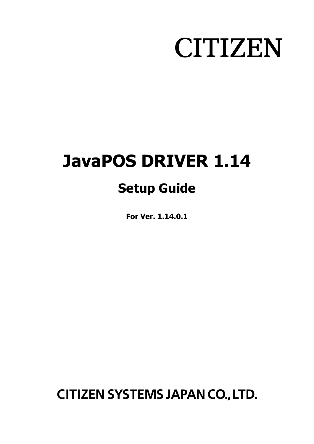# **CITIZEN**

## **JavaPOS DRIVER 1.14 Setup Guide**

**For Ver. 1.14.0.1**

**CITIZEN SYSTEMS JAPAN CO., LTD.**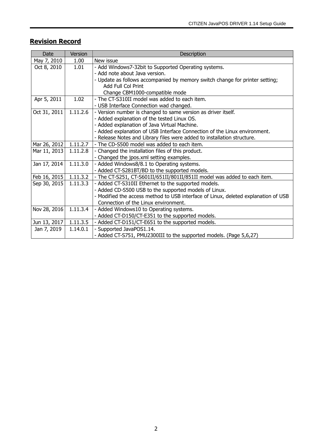## **Revision Record**

| Date         | Version  | Description                                                                        |
|--------------|----------|------------------------------------------------------------------------------------|
| May 7, 2010  | 1.00     | New issue                                                                          |
| Oct 8, 2010  | 1.01     | - Add Windows7-32bit to Supported Operating systems.                               |
|              |          | - Add note about Java version.                                                     |
|              |          | - Update as follows accompanied by memory switch change for printer setting;       |
|              |          | <b>Add Full Col Print</b>                                                          |
|              |          | Change CBM1000-compatible mode                                                     |
| Apr 5, 2011  | 1.02     | - The CT-S310II model was added to each item.                                      |
|              |          | - USB Interface Connection wad changed.                                            |
| Oct 31, 2011 | 1.11.2.6 | - Version number is changed to same version as driver itself.                      |
|              |          | - Added explanation of the tested Linux OS.                                        |
|              |          | - Added explanation of Java Virtual Machine.                                       |
|              |          | - Added explanation of USB Interface Connection of the Linux environment.          |
|              |          | - Release Notes and Library files were added to installation structure.            |
| Mar 26, 2012 | 1.11.2.7 | - The CD-S500 model was added to each item.                                        |
| Mar 11, 2013 | 1.11.2.8 | - Changed the installation files of this product.                                  |
|              |          | - Changed the jpos.xml setting examples.                                           |
| Jan 17, 2014 | 1.11.3.0 | - Added Windows8/8.1 to Operating systems.                                         |
|              |          | - Added CT-S281BT/BD to the supported models.                                      |
| Feb 16, 2015 | 1.11.3.2 | - The CT-S251, CT-S601II/651II/801II/851II model was added to each item.           |
| Sep 30, 2015 | 1.11.3.3 | - Added CT-S310II Ethernet to the supported models.                                |
|              |          | - Added CD-S500 USB to the supported models of Linux.                              |
|              |          | - Modified the access method to USB interface of Linux, deleted explanation of USB |
|              |          | Connection of the Linux environment.                                               |
| Nov 28, 2016 | 1.11.3.4 | - Added Windows10 to Operating systems.                                            |
|              |          | - Added CT-D150/CT-E351 to the supported models.                                   |
| Jun 13, 2017 | 1.11.3.5 | - Added CT-D151/CT-E651 to the supported models.                                   |
| Jan 7, 2019  | 1.14.0.1 | - Supported JavaPOS1.14.                                                           |
|              |          | - Added CT-S751, PMU2300III to the supported models. (Page 5,6,27)                 |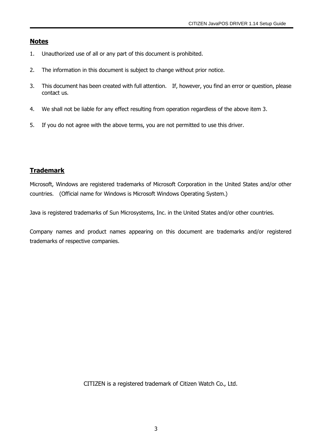#### **Notes**

- 1. Unauthorized use of all or any part of this document is prohibited.
- 2. The information in this document is subject to change without prior notice.
- 3. This document has been created with full attention. If, however, you find an error or question, please contact us.
- 4. We shall not be liable for any effect resulting from operation regardless of the above item 3.
- 5. If you do not agree with the above terms, you are not permitted to use this driver.

## **Trademark**

Microsoft, Windows are registered trademarks of Microsoft Corporation in the United States and/or other countries. (Official name for Windows is Microsoft Windows Operating System.)

Java is registered trademarks of Sun Microsystems, Inc. in the United States and/or other countries.

Company names and product names appearing on this document are trademarks and/or registered trademarks of respective companies.

CITIZEN is a registered trademark of Citizen Watch Co., Ltd.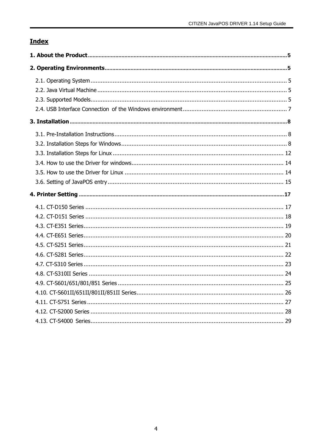## **Index**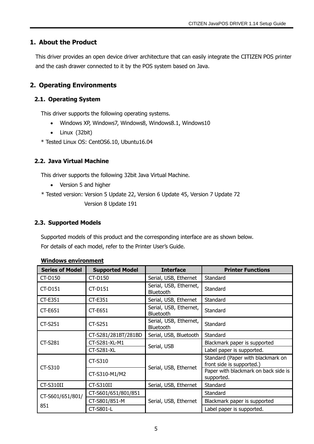## <span id="page-4-0"></span>**1. About the Product**

This driver provides an open device driver architecture that can easily integrate the CITIZEN POS printer and the cash drawer connected to it by the POS system based on Java.

## <span id="page-4-1"></span>**2. Operating Environments**

## <span id="page-4-2"></span>**2.1. Operating System**

This driver supports the following operating systems.

- Windows XP, Windows7, Windows8, Windows8.1, Windows10
- Linux (32bit)
- \* Tested Linux OS: CentOS6.10, Ubuntu16.04

## <span id="page-4-3"></span>**2.2. Java Virtual Machine**

This driver supports the following 32bit Java Virtual Machine.

- Version 5 and higher
- \* Tested version: Version 5 Update 22, Version 6 Update 45, Version 7 Update 72 Version 8 Update 191

## <span id="page-4-4"></span>**2.3. Supported Models**

Supported models of this product and the corresponding interface are as shown below. For details of each model, refer to the Printer User's Guide.

| <b>Series of Model</b> | <b>Supported Model</b> | <b>Interface</b>                           | <b>Printer Functions</b>                                       |  |  |
|------------------------|------------------------|--------------------------------------------|----------------------------------------------------------------|--|--|
| CT-D150                | CT-D150                | Serial, USB, Ethernet                      | Standard                                                       |  |  |
| $CT-D151$              | $CT-D151$              | Serial, USB, Ethernet,<br><b>Bluetooth</b> | Standard                                                       |  |  |
| <b>CT-E351</b>         | CT-E351                | Serial, USB, Ethernet                      | Standard                                                       |  |  |
| <b>CT-E651</b>         | CT-E651                | Serial, USB, Ethernet,<br>Bluetooth        | Standard                                                       |  |  |
| <b>CT-S251</b>         | $CT-S251$              | Serial, USB, Ethernet,<br>Bluetooth        | Standard                                                       |  |  |
|                        | CT-S281/281BT/281BD    | Serial, USB, Bluetooth                     | Standard                                                       |  |  |
| <b>CT-S281</b>         | CT-S281-XL-M1          | Serial, USB                                | Blackmark paper is supported                                   |  |  |
|                        | <b>CT-S281-XL</b>      |                                            | Label paper is supported.                                      |  |  |
| CT-S310                | CT-S310                | Serial, USB, Ethernet                      | Standard (Paper with blackmark on<br>front side is supported.) |  |  |
|                        | CT-S310-M1/M2          |                                            | Paper with blackmark on back side is<br>supported.             |  |  |
| CT-S310II              | CT-S310II              | Serial, USB, Ethernet                      | Standard                                                       |  |  |
| CT-S601/651/801/       | CT-S601/651/801/851    |                                            | Standard                                                       |  |  |
|                        | CT-S801/851-M          | Serial, USB, Ethernet                      | Blackmark paper is supported                                   |  |  |
| 851                    | CT-S801-L              |                                            | Label paper is supported.                                      |  |  |

#### **Windows environment**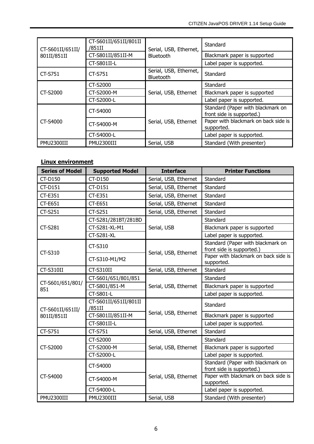| CT-S601II/651II/ | CT-S601II/651II/801II<br>/851II | Serial, USB, Ethernet,              | Standard                                                       |  |  |
|------------------|---------------------------------|-------------------------------------|----------------------------------------------------------------|--|--|
| 801II/851II      | CT-S801II/851II-M               | <b>Bluetooth</b>                    | Blackmark paper is supported                                   |  |  |
|                  | CT-S801II-L                     |                                     | Label paper is supported.                                      |  |  |
| CT-S751          | CT-S751                         | Serial, USB, Ethernet,<br>Bluetooth | Standard                                                       |  |  |
|                  | CT-S2000                        |                                     | Standard                                                       |  |  |
| CT-S2000         | CT-S2000-M                      | Serial, USB, Ethernet               | Blackmark paper is supported                                   |  |  |
|                  | CT-S2000-L                      |                                     | Label paper is supported.                                      |  |  |
|                  | CT-S4000                        |                                     | Standard (Paper with blackmark on<br>front side is supported.) |  |  |
| CT-S4000         | CT-S4000-M                      | Serial, USB, Ethernet               | Paper with blackmark on back side is<br>supported.             |  |  |
|                  | CT-S4000-L                      |                                     | Label paper is supported.                                      |  |  |
| PMU2300III       | PMU2300III                      | Serial, USB                         | Standard (With presenter)                                      |  |  |

## **Linux environment**

| <b>Series of Model</b>          | <b>Supported Model</b>          | <b>Interface</b>      | <b>Printer Functions</b>                                       |  |  |
|---------------------------------|---------------------------------|-----------------------|----------------------------------------------------------------|--|--|
| CT-D150                         | CT-D150                         | Serial, USB, Ethernet | Standard                                                       |  |  |
| <b>CT-D151</b>                  | <b>CT-D151</b>                  | Serial, USB, Ethernet | Standard                                                       |  |  |
| CT-E351                         | <b>CT-E351</b>                  | Serial, USB, Ethernet | Standard                                                       |  |  |
| CT-E651                         | CT-E651                         | Serial, USB, Ethernet | Standard                                                       |  |  |
| <b>CT-S251</b>                  | <b>CT-S251</b>                  | Serial, USB, Ethernet | Standard                                                       |  |  |
|                                 | CT-S281/281BT/281BD             |                       | Standard                                                       |  |  |
| <b>CT-S281</b>                  | CT-S281-XL-M1                   | Serial, USB           | Blackmark paper is supported                                   |  |  |
|                                 | <b>CT-S281-XL</b>               |                       | Label paper is supported.                                      |  |  |
| CT-S310                         | CT-S310                         | Serial, USB, Ethernet | Standard (Paper with blackmark on<br>front side is supported.) |  |  |
|                                 | CT-S310-M1/M2                   |                       | Paper with blackmark on back side is<br>supported.             |  |  |
| CT-S310II                       | CT-S310II                       | Serial, USB, Ethernet | Standard                                                       |  |  |
|                                 | CT-S601/651/801/851             |                       | Standard                                                       |  |  |
| CT-S601/651/801/<br>851         | CT-S801/851-M                   | Serial, USB, Ethernet | Blackmark paper is supported                                   |  |  |
|                                 | CT-S801-L                       |                       | Label paper is supported.                                      |  |  |
| CT-S601II/651II/<br>801II/851II | CT-S601II/651II/801II<br>/851II |                       | Standard                                                       |  |  |
|                                 | CT-S801II/851II-M               | Serial, USB, Ethernet | Blackmark paper is supported                                   |  |  |
|                                 | CT-S801II-L                     |                       | Label paper is supported.                                      |  |  |
| CT-S751                         | CT-S751                         | Serial, USB, Ethernet | Standard                                                       |  |  |
|                                 | CT-S2000                        |                       | Standard                                                       |  |  |
| CT-S2000                        | CT-S2000-M                      | Serial, USB, Ethernet | Blackmark paper is supported                                   |  |  |
|                                 | CT-S2000-L                      |                       | Label paper is supported.                                      |  |  |
|                                 | CT-S4000                        |                       | Standard (Paper with blackmark on<br>front side is supported.) |  |  |
| CT-S4000                        | CT-S4000-M                      | Serial, USB, Ethernet | Paper with blackmark on back side is<br>supported.             |  |  |
|                                 | CT-S4000-L                      |                       | Label paper is supported.                                      |  |  |
| PMU2300III                      | PMU2300III                      | Serial, USB           | Standard (With presenter)                                      |  |  |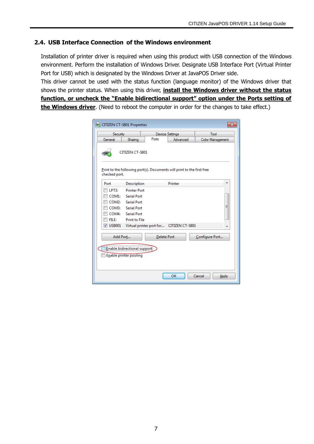## <span id="page-6-0"></span>**2.4. USB Interface Connection of the Windows environment**

Installation of printer driver is required when using this product with USB connection of the Windows environment. Perform the installation of Windows Driver. Designate USB Interface Port (Virtual Printer Port for USB) which is designated by the Windows Driver at JavaPOS Driver side.

This driver cannot be used with the status function (language monitor) of the Windows driver that shows the printer status. When using this driver, **install the Windows driver without the status function, or uncheck the "Enable bidirectional support" option under the Ports setting of the Windows driver**. (Need to reboot the computer in order for the changes to take effect.)

| <b>GO CITIZEN CT-S801 Properties</b> |                        |                    |                                                                        |                  |
|--------------------------------------|------------------------|--------------------|------------------------------------------------------------------------|------------------|
| Security                             |                        |                    | <b>Device Settings</b>                                                 | Tool             |
| General                              | Sharing                | Ports              | Advanced                                                               | Color Management |
|                                      | <b>CITIZEN CT-S801</b> |                    |                                                                        |                  |
| checked port.                        |                        |                    | Print to the following port(s). Documents will print to the first free |                  |
| Port                                 | Description            |                    | Printer                                                                |                  |
| LPT3:                                | <b>Printer Port</b>    |                    |                                                                        |                  |
| COM1:                                | <b>Serial Port</b>     |                    |                                                                        |                  |
| COM <sub>2</sub> :                   | <b>Serial Port</b>     |                    |                                                                        |                  |
| COM3:                                | <b>Serial Port</b>     |                    |                                                                        | Ξ                |
| COM4:                                | <b>Serial Port</b>     |                    |                                                                        |                  |
| FILE:                                | <b>Print to File</b>   |                    |                                                                        |                  |
| $\nabla$ USB001                      |                        |                    | Virtual printer port for CITIZEN CT-S801                               | -                |
| Add Port                             |                        | <b>Delete Port</b> |                                                                        | Configure Port   |
| Enable bidirectional support         |                        |                    |                                                                        |                  |
|                                      | Enable printer pooling |                    |                                                                        |                  |
|                                      |                        |                    |                                                                        |                  |
|                                      |                        |                    | OK                                                                     | Cancel<br>Apply  |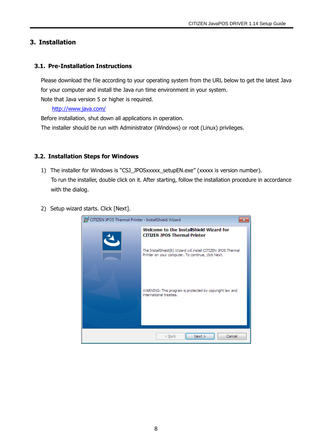## <span id="page-7-0"></span>**3. Installation**

## <span id="page-7-1"></span>**3.1. Pre-Installation Instructions**

Please download the file according to your operating system from the URL below to get the latest Java for your computer and install the Java run time environment in your system. Note that Java version 5 or higher is required.

#### <http://www.java.com/>

Before installation, shut down all applications in operation. The installer should be run with Administrator (Windows) or root (Linux) privileges.

#### <span id="page-7-2"></span>**3.2. Installation Steps for Windows**

- 1) The installer for Windows is "CSJ\_JPOSxxxxx\_setupEN.exe" (xxxxx is version number). To run the installer, double click on it. After starting, follow the installation procedure in accordance with the dialog.
- 2) Setup wizard starts. Click [Next].

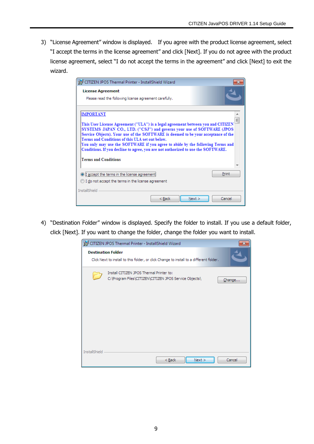3) "License Agreement" window is displayed. If you agree with the product license agreement, select "I accept the terms in the license agreement" and click [Next]. If you do not agree with the product license agreement, select "I do not accept the terms in the agreement" and click [Next] to exit the wizard.

| CITIZEN JPOS Thermal Printer - InstallShield Wizard                                                                                                                                                                                                                                                                                                                                                                                                                                                                         |  |  |  |  |  |
|-----------------------------------------------------------------------------------------------------------------------------------------------------------------------------------------------------------------------------------------------------------------------------------------------------------------------------------------------------------------------------------------------------------------------------------------------------------------------------------------------------------------------------|--|--|--|--|--|
| <b>License Agreement</b><br>Please read the following license agreement carefully.                                                                                                                                                                                                                                                                                                                                                                                                                                          |  |  |  |  |  |
| <b>IMPORTANT</b><br>This User License Agreement ("ULA") is a legal agreement between you and CITIZEN<br>SYSTEMS JAPAN CO., LTD. ("CSJ") and governs your use of SOFTWARE (JPOS<br>Service Objects). Your use of the SOFTWARE is deemed to be your acceptance of the<br>Terms and Conditions of this ULA set out below.<br>You only may use the SOFTWARE if you agree to abide by the following Terms and<br>Conditions. If you decline to agree, you are not authorized to use the SOFTWARE.<br><b>Terms and Conditions</b> |  |  |  |  |  |
| Print<br>I accept the terms in the license agreer<br>I do not accept the terms in the license agreement<br><b>InstallShield</b>                                                                                                                                                                                                                                                                                                                                                                                             |  |  |  |  |  |
| $<$ Back<br>Cancel<br>Next                                                                                                                                                                                                                                                                                                                                                                                                                                                                                                  |  |  |  |  |  |

4) "Destination Folder" window is displayed. Specify the folder to install. If you use a default folder, click [Next]. If you want to change the folder, change the folder you want to install.

|               | CITIZEN JPOS Thermal Printer - InstallShield Wizard                                                                  |
|---------------|----------------------------------------------------------------------------------------------------------------------|
|               | <b>Destination Folder</b><br>Click Next to install to this folder, or click Change to install to a different folder. |
|               | Install CITIZEN JPOS Thermal Printer to:<br>C:\Program Files\CITIZEN\CITIZEN JPOS Service Objects\<br>Change         |
| InstallShield | $<$ Back<br>Next<br>Cancel                                                                                           |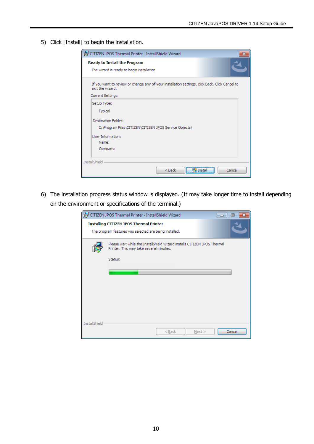5) Click [Install] to begin the installation.

| CITIZEN JPOS Thermal Printer - InstallShield Wizard                                                                |
|--------------------------------------------------------------------------------------------------------------------|
| Ready to Install the Program                                                                                       |
| The wizard is ready to begin installation.                                                                         |
| If you want to review or change any of your installation settings, click Back. Click Cancel to<br>exit the wizard. |
| Current Settings:                                                                                                  |
| Setup Type:                                                                                                        |
| Typical                                                                                                            |
| Destination Folder:                                                                                                |
| C:\Program Files\CITIZEN\CITIZEN JPOS Service Objects\                                                             |
| <b>Liser Information:</b>                                                                                          |
| Name:                                                                                                              |
| Company:                                                                                                           |
| <b>InstallShield</b>                                                                                               |
| Cancel<br><b>JInstal</b><br>< Back                                                                                 |

6) The installation progress status window is displayed. (It may take longer time to install depending on the environment or specifications of the terminal.)

|                      | CITIZEN JPOS Thermal Printer - InstallShield Wizard<br>$\Box$<br>$=$                                                |  |
|----------------------|---------------------------------------------------------------------------------------------------------------------|--|
|                      | <b>Installing CITIZEN JPOS Thermal Printer</b><br>The program features you selected are being installed.            |  |
|                      | Please wait while the InstallShield Wizard installs CITIZEN JPOS Thermal<br>Printer. This may take several minutes. |  |
|                      | Status:                                                                                                             |  |
|                      |                                                                                                                     |  |
|                      |                                                                                                                     |  |
|                      |                                                                                                                     |  |
|                      |                                                                                                                     |  |
|                      |                                                                                                                     |  |
| <b>InstallShield</b> |                                                                                                                     |  |
|                      | Cancel<br>$<$ Back<br>Next >                                                                                        |  |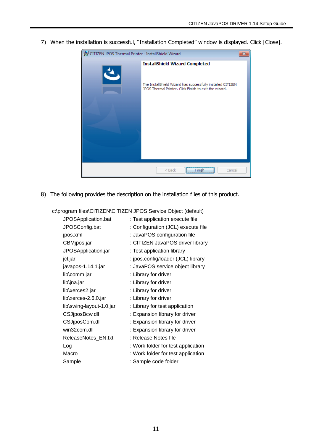7) When the installation is successful, "Installation Completed" window is displayed. Click [Close].



8) The following provides the description on the installation files of this product.

| JPOSApplication.bat      | : Test application execute file    |
|--------------------------|------------------------------------|
| JPOSConfig.bat           | : Configuration (JCL) execute file |
| jpos.xml                 | : JavaPOS configuration file       |
| CBMjpos.jar              | : CITIZEN JavaPOS driver library   |
| JPOSApplication.jar      | : Test application library         |
| jcl.jar                  | : jpos.config/loader (JCL) library |
| javapos-1.14.1.jar       | : JavaPOS service object library   |
| lib\comm.jar             | : Library for driver               |
| lib\jna.jar              | : Library for driver               |
| lib\xerces2.jar          | : Library for driver               |
| lib\xerces-2.6.0.jar     | : Library for driver               |
| lib\swing-layout-1.0.jar | : Library for test application     |
| CSJjposBcw.dll           | : Expansion library for driver     |
| CSJjposCom.dll           | : Expansion library for driver     |
| win32com.dll             | : Expansion library for driver     |
| ReleaseNotes_EN.txt      | : Release Notes file               |
| Log                      | : Work folder for test application |
| Macro                    | : Work folder for test application |
| Sample                   | : Sample code folder               |

c:\program files\CITIZEN\CITIZEN JPOS Service Object (default)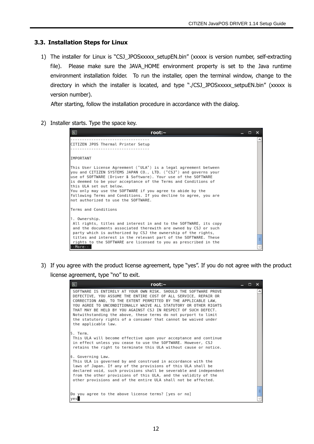#### <span id="page-11-0"></span>**3.3. Installation Steps for Linux**

1) The installer for Linux is "CSJ\_JPOSxxxxx\_setupEN.bin" (xxxxx is version number, self-extracting file). Please make sure the JAVA\_HOME environment property is set to the Java runtime environment installation folder. To run the installer, open the terminal window, change to the directory in which the installer is located, and type "./CSJ JPOSxxxxx setpuEN.bin" (xxxxx is version number).

After starting, follow the installation procedure in accordance with the dialog.

2) Installer starts. Type the space key.

| ≂<br>root: $\sim$                                                                                                                                                                                                                                                                                                                                                                                                                                                            | ┍ | × |
|------------------------------------------------------------------------------------------------------------------------------------------------------------------------------------------------------------------------------------------------------------------------------------------------------------------------------------------------------------------------------------------------------------------------------------------------------------------------------|---|---|
| CITIZEN JPOS Thermal Printer Setup                                                                                                                                                                                                                                                                                                                                                                                                                                           |   |   |
| IMPORTANT                                                                                                                                                                                                                                                                                                                                                                                                                                                                    |   |   |
| This User License Agreement ("ULA") is a legal agreement between<br>you and CITIZEN SYSTEMS JAPAN CO., LTD. ("CSJ") and governs your<br>luse of SOFTWARE (Driver & Software). Your use of the SOFTWARE<br>is deemed to be your acceptance of the Terms and Conditions of<br>this ULA set out below.<br>You only may use the SOFTWARE if you agree to abide by the<br>following Terms and Conditions. If you decline to agree, you are<br>not authorized to use the SOFTWARE. |   |   |
| Terms and Conditions                                                                                                                                                                                                                                                                                                                                                                                                                                                         |   |   |
| 1. Ownership.<br>All rights, titles and interest in and to the SOFTWARE, its copy<br>and the documents associated therewith are owned by CSJ or such<br>party which is authorized by CSJ the ownership of the rights,<br>titles and interest in the relevant part of the SOFTWARE. These<br>rights to the SOFTWARE are licensed to you as prescribed in the<br>--More--                                                                                                      |   | Ξ |

3) If you agree with the product license agreement, type "yes". If you do not agree with the product license agreement, type "no" to exit.

| 圆<br>root: $\sim$<br>– □ ×                                                                                                                                                                                                                                                                                                                                                                                                                                                                             |   |
|--------------------------------------------------------------------------------------------------------------------------------------------------------------------------------------------------------------------------------------------------------------------------------------------------------------------------------------------------------------------------------------------------------------------------------------------------------------------------------------------------------|---|
| SOFTWARE IS ENTIRELY AT YOUR OWN RISK. SHOULD THE SOFTWARE PROVE<br>DEFECTIVE, YOU ASSUME THE ENTIRE COST OF ALL SERVICE, REPAIR OR<br>CORRECTION AND, TO THE EXTENT PERMITTED BY THE APPLICABLE LAW,<br>YOU AGREE TO UNCONDITIONALLY WAIVE ALL STATUTORY OR OTHER RIGHTS<br>THAT MAY BE HELD BY YOU AGAINST CSJ IN RESPECT OF SUCH DEFECT.<br>Notwithstanding the above, these terms do not purport to limit<br>the statutory rights of a consumer that cannot be waived under<br>the applicable law. | À |
| 5. Term.<br>This ULA will become effective upon your acceptance and continue<br>in effect unless you cease to use the SOFTWARE. However, CSJ<br>retains the right to terminate this ULA without cause or notice.                                                                                                                                                                                                                                                                                       |   |
| 6. Governing Law.<br>This ULA is governed by and construed in accordance with the<br>laws of Japan. If any of the provisions of this ULA shall be<br>declared void, such provisions shall be severable and independent<br>from the other provisions of this ULA, and the validity of the<br>other provisions and of the entire ULA shall not be affected.                                                                                                                                              |   |
| Do you agree to the above license terms? [yes or no]                                                                                                                                                                                                                                                                                                                                                                                                                                                   |   |
| yes                                                                                                                                                                                                                                                                                                                                                                                                                                                                                                    |   |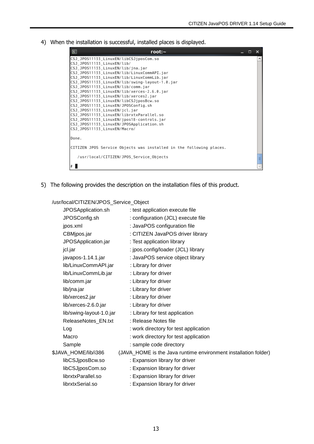4) When the installation is successful, installed places is displayed.

| $\boxed{\mathbf{z}}$<br>root: $\sim$                                                                                                                                                                                                                                                                                                                                                                                                                                                                                                                                                                                                                                                 | D. | ×                        |
|--------------------------------------------------------------------------------------------------------------------------------------------------------------------------------------------------------------------------------------------------------------------------------------------------------------------------------------------------------------------------------------------------------------------------------------------------------------------------------------------------------------------------------------------------------------------------------------------------------------------------------------------------------------------------------------|----|--------------------------|
| CSJ_JP0S11133_LinuxEN/libCSJjposCom.so<br>CSJ JP0S11133 LinuxEN/lib/<br>CSJ_JP0S11133_LinuxEN/lib/jna.jar<br>CSJ_JP0S11133 LinuxEN/lib/LinuxCommAPI.jar<br>CSJ_JP0S11133_LinuxEN/lib/LinuxCommLib.jar<br>CSJ_JP0S11133_LinuxEN/lib/swing-layout-1.0.jar<br>CSJ_JP0S11133_LinuxEN/lib/comm.jar<br>CSJ_JP0S11133_LinuxEN/lib/xerces-2.6.0.jar<br>CSJ_JP0S11133_LinuxEN/lib/xerces2.jar<br>CSJ_JP0S11133_LinuxEN/libCSJjposBcw.so<br>CSJ_JP0S11133_LinuxEN/JP0SConfig.sh<br>CSJ_JPOS11133_LinuxEN/jcl.jar<br>CSJ_JP0S11133_LinuxEN/librxtxParallel.so<br>CSJ_JPOS11133_LinuxEN/jpos18-controls.jar<br>CSJ_JP0S11133_LinuxEN/JP0SApplication.sh<br>CSJ_JP0S11133_LinuxEN/Macro/<br>Done. |    | $\overline{\phantom{a}}$ |
| CITIZEN JPOS Service Objects was installed in the following places.                                                                                                                                                                                                                                                                                                                                                                                                                                                                                                                                                                                                                  |    |                          |
| /usr/local/CITIZEN/JPOS_Service_Objects                                                                                                                                                                                                                                                                                                                                                                                                                                                                                                                                                                                                                                              |    | Ξ                        |
|                                                                                                                                                                                                                                                                                                                                                                                                                                                                                                                                                                                                                                                                                      |    |                          |

5) The following provides the description on the installation files of this product.

/usr/local/CITIZEN/JPOS\_Service\_Object

| JPOSApplication.sh   |                      | : test application execute file                                 |
|----------------------|----------------------|-----------------------------------------------------------------|
| JPOSConfig.sh        |                      | : configuration (JCL) execute file                              |
| jpos.xml             |                      | : JavaPOS configuration file                                    |
| CBMjpos.jar          |                      | : CITIZEN JavaPOS driver library                                |
| JPOSApplication.jar  |                      | : Test application library                                      |
| jcl.jar              |                      | : jpos.config/loader (JCL) library                              |
| javapos-1.14.1.jar   |                      | : JavaPOS service object library                                |
| lib/LinuxCommAPI.jar |                      | : Library for driver                                            |
| lib/LinuxCommLib.jar |                      | : Library for driver                                            |
| lib/comm.jar         |                      | : Library for driver                                            |
| lib/jna.jar          |                      | : Library for driver                                            |
| lib/xerces2.jar      |                      | : Library for driver                                            |
| lib/xerces-2.6.0.jar |                      | : Library for driver                                            |
|                      |                      | : Library for test application                                  |
| ReleaseNotes_EN.txt  |                      | : Release Notes file                                            |
| Log                  |                      | : work directory for test application                           |
| Macro                |                      | : work directory for test application                           |
| Sample               |                      | : sample code directory                                         |
|                      |                      | (JAVA_HOME is the Java runtime environment installation folder) |
| libCSJjposBcw.so     |                      | : Expansion library for driver                                  |
| libCSJjposCom.so     |                      | : Expansion library for driver                                  |
| librxtxParallel.so   |                      | : Expansion library for driver                                  |
| librxtxSerial.so     |                      | : Expansion library for driver                                  |
|                      | \$JAVA_HOME/lib/i386 | lib/swing-layout-1.0.jar                                        |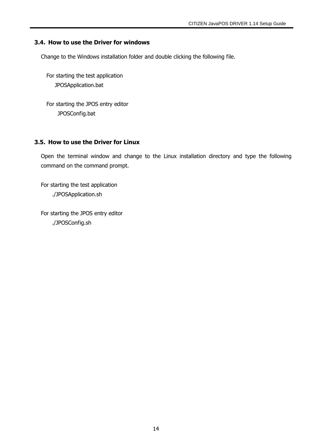## <span id="page-13-0"></span>**3.4. How to use the Driver for windows**

Change to the Windows installation folder and double clicking the following file.

For starting the test application JPOSApplication.bat

For starting the JPOS entry editor JPOSConfig.bat

## <span id="page-13-1"></span>**3.5. How to use the Driver for Linux**

Open the terminal window and change to the Linux installation directory and type the following command on the command prompt.

For starting the test application ./JPOSApplication.sh

For starting the JPOS entry editor ./JPOSConfig.sh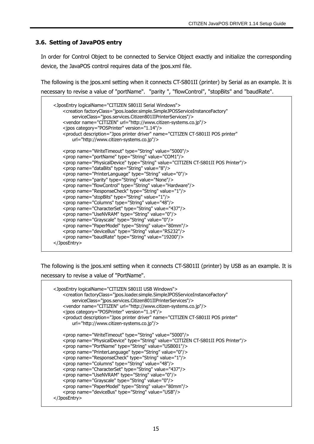## <span id="page-14-0"></span>**3.6. Setting of JavaPOS entry**

In order for Control Object to be connected to Service Object exactly and initialize the corresponding device, the JavaPOS control requires data of the jpos.xml file.

The following is the jpos.xml setting when it connects CT-S801II (printer) by Serial as an example. It is necessary to revise a value of "portName", "parity ", "flowControl", "stopBits" and "baudRate".

```
 <JposEntry logicalName="CITIZEN S801II Serial Windows">
    <creation factoryClass="jpos.loader.simple.SimpleJPOSServiceInstanceFactory"
        serviceClass="jpos.services.Citizen801IIPrinterServices"/>
    <vendor name="CITIZEN" url="http://www.citizen-systems.co.jp"/>
    <jpos category="POSPrinter" version="1.14"/>
    <product description="Jpos printer driver" name="CITIZEN CT-S801II POS printer"
        url="http://www.citizen-systems.co.jp"/>
    <prop name="WriteTimeout" type="String" value="5000"/>
    <prop name="portName" type="String" value="COM1"/>
    <prop name="PhysicalDevice" type="String" value="CITIZEN CT-S801II POS Printer"/>
    <prop name="dataBits" type="String" value="8"/>
    <prop name="PrinterLanguage" type="String" value="0"/>
    <prop name="parity" type="String" value="None"/>
    <prop name="flowControl" type="String" value="Hardware"/>
    <prop name="ResponseCheck" type="String" value="1"/>
    <prop name="stopBits" type="String" value="1"/>
    <prop name="Columns" type="String" value="48"/>
    <prop name="CharacterSet" type="String" value="437"/>
    <prop name="UseNVRAM" type="String" value="0"/>
    <prop name="Grayscale" type="String" value="0"/>
    <prop name="PaperModel" type="String" value="80mm"/>
    <prop name="deviceBus" type="String" value="RS232"/>
    <prop name="baudRate" type="String" value="19200"/>
</JposEntry>
```
The following is the jpos.xml setting when it connects CT-S801II (printer) by USB as an example. It is necessary to revise a value of "PortName".

```
 <JposEntry logicalName="CITIZEN S801II USB Windows">
   <creation factoryClass="jpos.loader.simple.SimpleJPOSServiceInstanceFactory"
        serviceClass="jpos.services.Citizen801IIPrinterServices"/>
    <vendor name="CITIZEN" url="http://www.citizen-systems.co.jp"/>
    <jpos category="POSPrinter" version="1.14"/>
    <product description="Jpos printer driver" name="CITIZEN CT-S801II POS printer"
        url="http://www.citizen-systems.co.jp"/>
    <prop name="WriteTimeout" type="String" value="5000"/>
    <prop name="PhysicalDevice" type="String" value="CITIZEN CT-S801II POS Printer"/>
    <prop name="PortName" type="String" value="USB001"/>
    <prop name="PrinterLanguage" type="String" value="0"/>
    <prop name="ResponseCheck" type="String" value="1"/>
    <prop name="Columns" type="String" value="48"/>
    <prop name="CharacterSet" type="String" value="437"/>
    <prop name="UseNVRAM" type="String" value="0"/>
    <prop name="Grayscale" type="String" value="0"/>
    <prop name="PaperModel" type="String" value="80mm"/>
    <prop name="deviceBus" type="String" value="USB"/>
</JposEntry>
```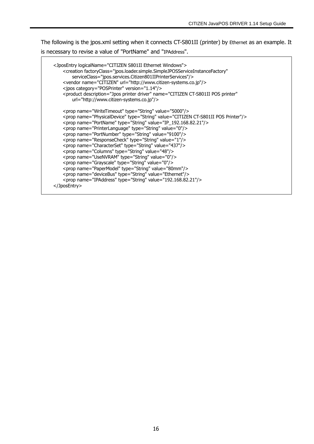The following is the jpos.xml setting when it connects CT-S801II (printer) by Ethernet as an example. It is necessary to revise a value of "PortName" and "IPAddress".

```
 <JposEntry logicalName="CITIZEN S801II Ethernet Windows">
       <creation factoryClass="jpos.loader.simple.SimpleJPOSServiceInstanceFactory"
            serviceClass="jpos.services.Citizen801IIPrinterServices"/>
        <vendor name="CITIZEN" url="http://www.citizen-systems.co.jp"/>
        <jpos category="POSPrinter" version="1.14"/>
        <product description="Jpos printer driver" name="CITIZEN CT-S801II POS printer"
            url="http://www.citizen-systems.co.jp"/>
        <prop name="WriteTimeout" type="String" value="5000"/>
        <prop name="PhysicalDevice" type="String" value="CITIZEN CT-S801II POS Printer"/>
        <prop name="PortName" type="String" value="IP_192.168.82.21"/>
        <prop name="PrinterLanguage" type="String" value="0"/>
        <prop name="PortNumber" type="String" value="9100"/>
        <prop name="ResponseCheck" type="String" value="1"/>
        <prop name="CharacterSet" type="String" value="437"/>
        <prop name="Columns" type="String" value="48"/>
        <prop name="UseNVRAM" type="String" value="0"/>
        <prop name="Grayscale" type="String" value="0"/>
        <prop name="PaperModel" type="String" value="80mm"/>
<prop name="deviceBus" type="String" value="Ethernet"/>
<prop name="IPAddress" type="String" value="192.168.82.21"/>
    </JposEntry>
```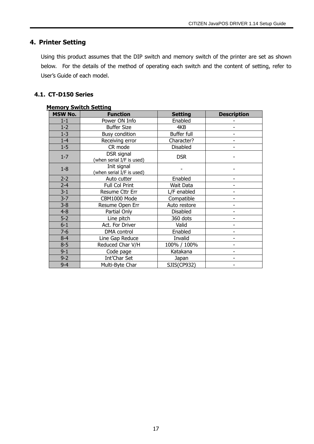## <span id="page-16-0"></span>**4. Printer Setting**

Using this product assumes that the DIP switch and memory switch of the printer are set as shown below. For the details of the method of operating each switch and the content of setting, refer to User's Guide of each model.

## <span id="page-16-1"></span>**4.1. CT-D150 Series**

| <b>Memory Switch Setting</b> |                                          |                |                    |  |  |
|------------------------------|------------------------------------------|----------------|--------------------|--|--|
| <b>MSW No.</b>               | <b>Function</b>                          | <b>Setting</b> | <b>Description</b> |  |  |
| $1 - 1$                      | Power ON Info                            | Enabled        |                    |  |  |
| $1 - 2$                      | <b>Buffer Size</b>                       | 4KB            |                    |  |  |
| $1 - 3$                      | <b>Busy condition</b>                    | Buffer full    |                    |  |  |
| $1-4$                        | Receiving error                          | Character?     |                    |  |  |
| $1 - 5$                      | CR mode                                  | Disabled       |                    |  |  |
| $1 - 7$                      | DSR signal<br>(when serial I/F is used)  | <b>DSR</b>     |                    |  |  |
| $1-8$                        | Init signal<br>(when serial I/F is used) |                |                    |  |  |
| $2 - 2$                      | Auto cutter                              | Enabled        |                    |  |  |
| $2 - 4$                      | Full Col Print                           | Wait Data      |                    |  |  |
| $3 - 1$                      | Resume Cttr Err                          | L/F enabled    |                    |  |  |
| $3 - 7$                      | CBM1000 Mode                             | Compatible     |                    |  |  |
| $3 - 8$                      | Resume Open Err                          | Auto restore   |                    |  |  |
| $4 - 8$                      | Partial Only                             | Disabled       |                    |  |  |
| $5-2$                        | Line pitch                               | 360 dots       |                    |  |  |
| $6 - 1$                      | Act. For Driver                          | Valid          |                    |  |  |
| $7 - 6$                      | DMA control                              | Enabled        |                    |  |  |
| $8 - 4$                      | Line Gap Reduce                          | Invalid        |                    |  |  |
| $8 - 5$                      | Reduced Char V/H                         | 100% / 100%    |                    |  |  |
| $9 - 1$                      | Code page                                | Katakana       |                    |  |  |
| $9 - 2$                      | Int'Char Set                             | Japan          |                    |  |  |
| $9 - 4$                      | Multi-Byte Char                          | SJIS(CP932)    |                    |  |  |

#### 17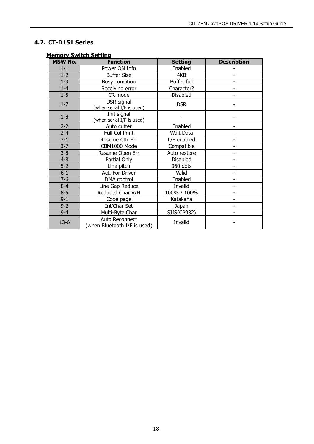## <span id="page-17-0"></span>**4.2. CT-D151 Series**

| <b>MSW No.</b> | <u><b><u>IGINUS SAFICUL Secting</u></b></u><br><b>Function</b> | <b>Setting</b>     | <b>Description</b>       |
|----------------|----------------------------------------------------------------|--------------------|--------------------------|
| $1 - 1$        | Power ON Info                                                  | Enabled            |                          |
| $1 - 2$        | <b>Buffer Size</b>                                             | 4KB                |                          |
| $1 - 3$        | <b>Busy condition</b>                                          | <b>Buffer full</b> |                          |
| $1-4$          | Receiving error                                                | Character?         |                          |
| $1 - 5$        | CR mode                                                        | <b>Disabled</b>    |                          |
| $1 - 7$        | DSR signal<br>(when serial I/F is used)                        | <b>DSR</b>         |                          |
| $1-8$          | Init signal<br>(when serial I/F is used)                       |                    |                          |
| $2 - 2$        | Auto cutter                                                    | Enabled            |                          |
| $2 - 4$        | Full Col Print                                                 | Wait Data          |                          |
| $3 - 1$        | Resume Cttr Err                                                | L/F enabled        |                          |
| $3 - 7$        | CBM1000 Mode                                                   | Compatible         |                          |
| $3 - 8$        | Resume Open Err                                                | Auto restore       |                          |
| $4 - 8$        | Partial Only                                                   | Disabled           |                          |
| $5 - 2$        | Line pitch                                                     | 360 dots           |                          |
| $6 - 1$        | Act. For Driver                                                | Valid              |                          |
| $7 - 6$        | DMA control                                                    | Enabled            |                          |
| $8 - 4$        | Line Gap Reduce                                                | Invalid            | $\overline{\phantom{a}}$ |
| $8 - 5$        | Reduced Char V/H                                               | 100% / 100%        |                          |
| $9 - 1$        | Code page                                                      | Katakana           |                          |
| $9 - 2$        | Int'Char Set                                                   | Japan              |                          |
| $9 - 4$        | Multi-Byte Char                                                | SJIS(CP932)        |                          |
| $13-6$         | Auto Reconnect<br>(when Bluetooth I/F is used)                 | Invalid            |                          |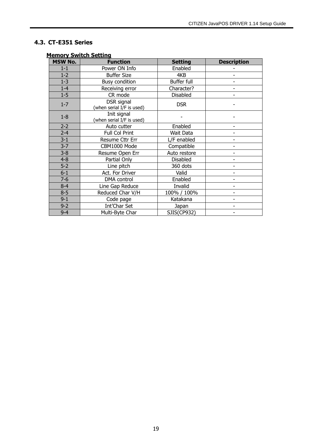## <span id="page-18-0"></span>**4.3. CT-E351 Series**

| <b>MSW No.</b> | <b>Function</b>                          | <b>Setting</b>  | <b>Description</b>       |
|----------------|------------------------------------------|-----------------|--------------------------|
| $1 - 1$        | Power ON Info                            | Enabled         |                          |
| $1 - 2$        | <b>Buffer Size</b>                       | 4KB             |                          |
| $1 - 3$        | <b>Busy condition</b>                    | Buffer full     |                          |
| $1-4$          | Receiving error                          | Character?      |                          |
| $1 - 5$        | CR mode                                  | <b>Disabled</b> |                          |
| $1 - 7$        | DSR signal<br>(when serial I/F is used)  | <b>DSR</b>      |                          |
| $1 - 8$        | Init signal<br>(when serial I/F is used) |                 |                          |
| $2 - 2$        | Auto cutter                              | Enabled         |                          |
| $2 - 4$        | Full Col Print                           | Wait Data       |                          |
| $3 - 1$        | Resume Cttr Err                          | L/F enabled     |                          |
| $3 - 7$        | CBM1000 Mode                             | Compatible      |                          |
| $3 - 8$        | Resume Open Err                          | Auto restore    |                          |
| $4 - 8$        | Partial Only                             | <b>Disabled</b> | $\overline{a}$           |
| $5-2$          | Line pitch                               | 360 dots        |                          |
| $6 - 1$        | Act. For Driver                          | Valid           |                          |
| $7-6$          | DMA control                              | Enabled         |                          |
| $8 - 4$        | Line Gap Reduce                          | Invalid         |                          |
| $8 - 5$        | Reduced Char V/H                         | 100% / 100%     |                          |
| $9 - 1$        | Code page                                | Katakana        |                          |
| $9 - 2$        | Int'Char Set                             | Japan           | $\overline{\phantom{a}}$ |
| $9 - 4$        | Multi-Byte Char                          | SJIS(CP932)     |                          |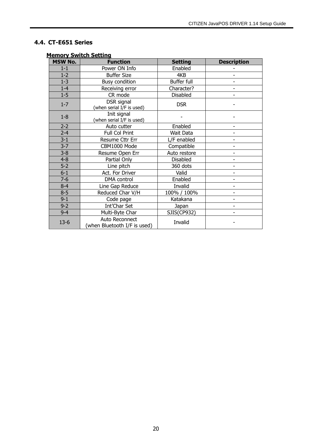## <span id="page-19-0"></span>**4.4. CT-E651 Series**

| <b>MSW No.</b> | <u>nemory ormeen occuring</u><br><b>Function</b> | <b>Setting</b>  | <b>Description</b> |
|----------------|--------------------------------------------------|-----------------|--------------------|
| $1 - 1$        | Power ON Info                                    | Enabled         |                    |
| $1-2$          | <b>Buffer Size</b>                               | 4KB             |                    |
| $1 - 3$        | <b>Busy condition</b>                            | Buffer full     |                    |
| $1-4$          | Receiving error                                  | Character?      |                    |
| $1 - 5$        | CR mode                                          | <b>Disabled</b> |                    |
| $1 - 7$        | DSR signal<br>(when serial I/F is used)          | <b>DSR</b>      |                    |
| $1 - 8$        | Init signal<br>(when serial I/F is used)         |                 |                    |
| $2 - 2$        | Auto cutter                                      | Enabled         |                    |
| $2 - 4$        | Full Col Print                                   | Wait Data       |                    |
| $3 - 1$        | Resume Cttr Err                                  | L/F enabled     |                    |
| $3 - 7$        | CBM1000 Mode                                     | Compatible      |                    |
| $3 - 8$        | Resume Open Err                                  | Auto restore    |                    |
| $4 - 8$        | Partial Only                                     | <b>Disabled</b> |                    |
| $5-2$          | Line pitch                                       | 360 dots        |                    |
| $6 - 1$        | Act. For Driver                                  | Valid           |                    |
| $7 - 6$        | DMA control                                      | Enabled         |                    |
| $8 - 4$        | Line Gap Reduce                                  | Invalid         |                    |
| $8 - 5$        | Reduced Char V/H                                 | 100% / 100%     |                    |
| $9 - 1$        | Code page                                        | Katakana        |                    |
| $9 - 2$        | Int'Char Set                                     | Japan           |                    |
| $9 - 4$        | Multi-Byte Char                                  | SJIS(CP932)     |                    |
| $13 - 6$       | Auto Reconnect<br>(when Bluetooth I/F is used)   | Invalid         |                    |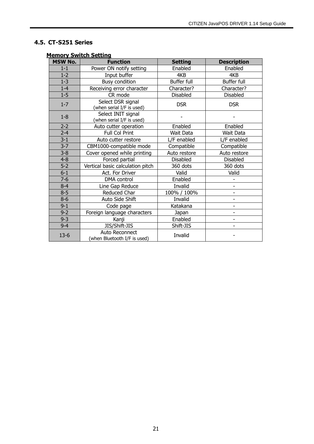## <span id="page-20-0"></span>**4.5. CT-S251 Series**

| <b>MSW No.</b> | <b>Function</b>                                 | <b>Setting</b>     | <b>Description</b>       |
|----------------|-------------------------------------------------|--------------------|--------------------------|
| $1 - 1$        | Power ON notify setting                         | Enabled            | Enabled                  |
| $1 - 2$        | Input buffer                                    | 4KB                | 4KB                      |
| $1 - 3$        | <b>Busy condition</b>                           | <b>Buffer full</b> | Buffer full              |
| $1 - 4$        | Receiving error character                       | Character?         | Character?               |
| $1-5$          | CR mode                                         | Disabled           | Disabled                 |
| $1 - 7$        | Select DSR signal<br>(when serial I/F is used)  | <b>DSR</b>         | <b>DSR</b>               |
| $1 - 8$        | Select INIT signal<br>(when serial I/F is used) |                    |                          |
| $2 - 2$        | Auto cutter operation                           | Enabled            | Enabled                  |
| $2 - 4$        | Full Col Print                                  | Wait Data          | Wait Data                |
| $3 - 1$        | Auto cutter restore                             | L/F enabled        | L/F enabled              |
| $3 - 7$        | CBM1000-compatible mode                         | Compatible         | Compatible               |
| $3 - 8$        | Cover opened while printing                     | Auto restore       | Auto restore             |
| $4 - 8$        | Forced partial                                  | Disabled           | Disabled                 |
| $5 - 2$        | Vertical basic calculation pitch                | 360 dots           | 360 dots                 |
| $6-1$          | Act. For Driver                                 | Valid              | Valid                    |
| $7-6$          | DMA control                                     | Enabled            |                          |
| $8 - 4$        | Line Gap Reduce                                 | Invalid            | $\blacksquare$           |
| $8 - 5$        | Reduced Char                                    | 100% / 100%        |                          |
| $8 - 6$        | Auto Side Shift                                 | Invalid            | $\overline{\phantom{a}}$ |
| $9 - 1$        | Code page                                       | Katakana           | $\blacksquare$           |
| $9 - 2$        | Foreign language characters                     | Japan              |                          |
| $9 - 3$        | Kanji                                           | Enabled            |                          |
| $9 - 4$        | JIS/Shift-JIS                                   | Shift-JIS          | ۰                        |
| $13-6$         | Auto Reconnect<br>(when Bluetooth I/F is used)  | Invalid            |                          |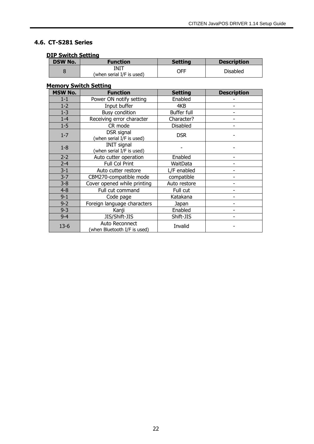## <span id="page-21-0"></span>**4.6. CT-S281 Series**

#### **DIP Switch Setting**

| <b>DSW No.</b> | <b>Function</b>                   | <b>Setting</b> | <b>Description</b> |  |  |
|----------------|-----------------------------------|----------------|--------------------|--|--|
|                | INIT<br>(when serial I/F is used) | ЭFF            | <b>Disabled</b>    |  |  |

| <b>MSW No.</b> | <b>Function</b>                                 | <b>Setting</b>  | <b>Description</b> |
|----------------|-------------------------------------------------|-----------------|--------------------|
| $1 - 1$        | Power ON notify setting                         | Enabled         |                    |
| $1 - 2$        | Input buffer                                    | 4KB             |                    |
| $1 - 3$        | <b>Busy condition</b>                           | Buffer full     |                    |
| $1 - 4$        | Receiving error character                       | Character?      |                    |
| $1 - 5$        | CR mode                                         | <b>Disabled</b> |                    |
| $1 - 7$        | DSR signal<br>(when serial I/F is used)         | <b>DSR</b>      |                    |
| $1-8$          | <b>INIT signal</b><br>(when serial I/F is used) |                 |                    |
| $2 - 2$        | Auto cutter operation                           | Enabled         |                    |
| $2 - 4$        | Full Col Print                                  | WaitData        |                    |
| $3 - 1$        | Auto cutter restore                             | L/F enabled     |                    |
| $3 - 7$        | CBM270-compatible mode                          | compatible      |                    |
| $3 - 8$        | Cover opened while printing                     | Auto restore    |                    |
| $4 - 8$        | Full cut command                                | Full cut        |                    |
| $9 - 1$        | Code page                                       | Katakana        |                    |
| $9 - 2$        | Foreign language characters                     | Japan           |                    |
| $9 - 3$        | Kanji                                           | Enabled         |                    |
| $9 - 4$        | JIS/Shift-JIS                                   | Shift-JIS       |                    |
| $13-6$         | Auto Reconnect<br>(when Bluetooth I/F is used)  | Invalid         |                    |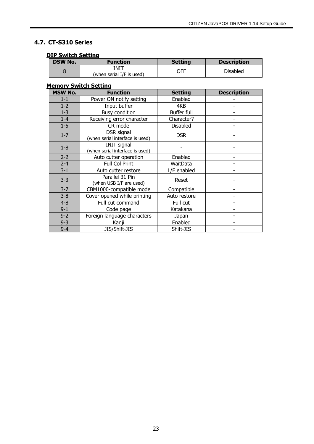## <span id="page-22-0"></span>**4.7. CT-S310 Series**

#### **DIP Switch Setting**

| <b>DSW No.</b> | <b>Function</b>                   | <b>Setting</b> | <b>Description</b> |  |  |
|----------------|-----------------------------------|----------------|--------------------|--|--|
|                | INIT<br>(when serial I/F is used) | <b>CFF</b>     | <b>Disabled</b>    |  |  |

| <b>MSW No.</b> | <b>Function</b>                                       | <b>Setting</b>     | <b>Description</b> |
|----------------|-------------------------------------------------------|--------------------|--------------------|
| $1 - 1$        | Power ON notify setting                               | Enabled            |                    |
| $1-2$          | Input buffer                                          | 4KB                |                    |
| $1 - 3$        | <b>Busy condition</b>                                 | <b>Buffer full</b> |                    |
| $1 - 4$        | Receiving error character                             | Character?         |                    |
| $1 - 5$        | CR mode                                               | <b>Disabled</b>    |                    |
| $1 - 7$        | DSR signal<br>(when serial interface is used)         | <b>DSR</b>         |                    |
| $1-8$          | <b>INIT signal</b><br>(when serial interface is used) |                    |                    |
| $2 - 2$        | Auto cutter operation                                 | Enabled            |                    |
| $2 - 4$        | Full Col Print                                        | WaitData           |                    |
| $3 - 1$        | Auto cutter restore                                   | L/F enabled        |                    |
| $3 - 3$        | Parallel 31 Pin<br>(when USB I/F are used)            | Reset              |                    |
| $3 - 7$        | CBM1000-compatible mode                               | Compatible         |                    |
| $3 - 8$        | Cover opened while printing                           | Auto restore       |                    |
| $4 - 8$        | Full cut command                                      | Full cut           |                    |
| $9 - 1$        | Code page                                             | Katakana           |                    |
| $9 - 2$        | Foreign language characters                           | Japan              |                    |
| $9 - 3$        | Kanji                                                 | Enabled            |                    |
| $9 - 4$        | JIS/Shift-JIS                                         | Shift-JIS          |                    |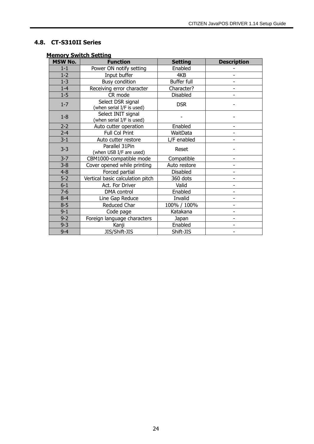## <span id="page-23-0"></span>**4.8. CT-S310II Series**

| <b>MSW No.</b> | <b>Function</b>                                 | <b>Setting</b>     | <b>Description</b> |
|----------------|-------------------------------------------------|--------------------|--------------------|
| $1 - 1$        | Power ON notify setting                         | Enabled            |                    |
| $1 - 2$        | Input buffer                                    | 4KB                |                    |
| $1 - 3$        | <b>Busy condition</b>                           | <b>Buffer full</b> |                    |
| $1-4$          | Receiving error character                       | Character?         |                    |
| $1-5$          | CR mode                                         | Disabled           |                    |
| $1 - 7$        | Select DSR signal<br>(when serial I/F is used)  | <b>DSR</b>         |                    |
| $1-8$          | Select INIT signal<br>(when serial I/F is used) |                    |                    |
| $2 - 2$        | Auto cutter operation                           | Enabled            |                    |
| $2 - 4$        | Full Col Print                                  | WaitData           |                    |
| $3 - 1$        | Auto cutter restore                             | L/F enabled        |                    |
| $3 - 3$        | Parallel 31Pin<br>(when USB I/F are used)       | Reset              |                    |
| $3 - 7$        | CBM1000-compatible mode                         | Compatible         |                    |
| $3 - 8$        | Cover opened while printing                     | Auto restore       |                    |
| $4 - 8$        | Forced partial                                  | Disabled           |                    |
| $5-2$          | Vertical basic calculation pitch                | 360 dots           |                    |
| $6 - 1$        | Act. For Driver                                 | Valid              |                    |
| $7-6$          | DMA control                                     | Enabled            |                    |
| $8 - 4$        | Line Gap Reduce                                 | Invalid            |                    |
| $8 - 5$        | Reduced Char                                    | 100% / 100%        |                    |
| $9 - 1$        | Code page                                       | Katakana           |                    |
| $9 - 2$        | Foreign language characters                     | Japan              |                    |
| $9 - 3$        | Kanji                                           | Enabled            |                    |
| $9 - 4$        | JIS/Shift-JIS                                   | Shift-JIS          |                    |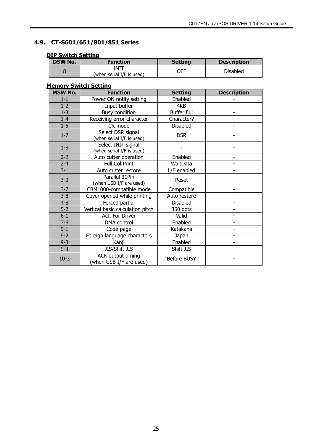## **4.9. CT-S601/651/801/851 Series**

## <span id="page-24-0"></span>**DIP Switch Setting**

| <b>DSW No.</b> | <b>Function</b>                   | <b>Setting</b> | <b>Description</b> |
|----------------|-----------------------------------|----------------|--------------------|
|                | INIT<br>(when serial I/F is used) | OFF            | <b>Disabled</b>    |

| <b>MSW No.</b> | <b>Function</b>                                 | <b>Setting</b>     | <b>Description</b>       |
|----------------|-------------------------------------------------|--------------------|--------------------------|
| $1-1$          | Power ON notify setting                         | Enabled            |                          |
| $1 - 2$        | Input buffer                                    | 4KB                |                          |
| $1 - 3$        | Busy condition                                  | Buffer full        | ۰                        |
| $1 - 4$        | Receiving error character                       | Character?         |                          |
| $1 - 5$        | CR mode                                         | Disabled           |                          |
| $1 - 7$        | Select DSR signal<br>(when serial I/F is used)  | <b>DSR</b>         |                          |
| $1-8$          | Select INIT signal<br>(when serial I/F is used) |                    |                          |
| $2 - 2$        | Auto cutter operation                           | Enabled            |                          |
| $2 - 4$        | Full Col Print                                  | WaitData           |                          |
| $3 - 1$        | Auto cutter restore                             | L/F enabled        |                          |
| $3 - 3$        | Parallel 31Pin<br>(when USB I/F are used)       | Reset              |                          |
| $3 - 7$        | CBM1000-compatible mode                         | Compatible         | ۰                        |
| $3 - 8$        | Cover opened while printing                     | Auto restore       |                          |
| $4 - 8$        | Forced partial                                  | <b>Disabled</b>    | $\overline{\phantom{a}}$ |
| $5-2$          | Vertical basic calculation pitch                | 360 dots           |                          |
| $6-1$          | Act. For Driver                                 | Valid              |                          |
| $7 - 6$        | DMA control                                     | Enabled            |                          |
| $9 - 1$        | Code page                                       | Katakana           |                          |
| $9 - 2$        | Foreign language characters                     | Japan              |                          |
| $9 - 3$        | Kanji                                           | Enabled            |                          |
| $9 - 4$        | JIS/Shift-JIS                                   | Shift-JIS          |                          |
| $10-3$         | ACK output timing<br>(when USB I/F are used)    | <b>Before BUSY</b> |                          |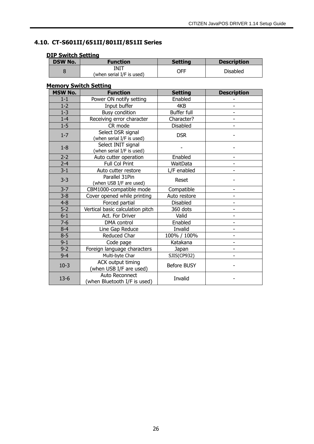## <span id="page-25-0"></span>**4.10. CT-S601II/651II/801II/851II Series**

| <b>JIP SWITCH SETTING</b> |                                   |                |                    |  |
|---------------------------|-----------------------------------|----------------|--------------------|--|
| <b>DSW No.</b>            | Function                          | <b>Setting</b> | <b>Description</b> |  |
|                           | INIT<br>(when serial I/F is used) | OFF            | <b>Disabled</b>    |  |

## **DIP Switch Setting**

| <b>MSW No.</b> | <b>Function</b>                                     | <b>Setting</b>     | <b>Description</b>       |
|----------------|-----------------------------------------------------|--------------------|--------------------------|
| $1-1$          | Power ON notify setting                             | Enabled            |                          |
| $1 - 2$        | Input buffer                                        | 4KB                |                          |
| $1 - 3$        | <b>Busy condition</b>                               | Buffer full        |                          |
| $1-4$          | Receiving error character                           | Character?         |                          |
| $1 - 5$        | CR mode                                             | <b>Disabled</b>    |                          |
| $1 - 7$        | Select DSR signal<br>(when serial I/F is used)      | <b>DSR</b>         |                          |
| $1-8$          | Select INIT signal<br>(when serial I/F is used)     |                    |                          |
| $2 - 2$        | Auto cutter operation                               | Enabled            |                          |
| $2 - 4$        | Full Col Print                                      | WaitData           |                          |
| $3 - 1$        | Auto cutter restore                                 | L/F enabled        |                          |
| $3 - 3$        | Parallel 31Pin<br>(when USB I/F are used)           | Reset              |                          |
| $3 - 7$        | CBM1000-compatible mode                             | Compatible         | $\overline{\phantom{a}}$ |
| $3 - 8$        | Cover opened while printing                         | Auto restore       |                          |
| $4 - 8$        | Forced partial                                      | <b>Disabled</b>    |                          |
| $5 - 2$        | Vertical basic calculation pitch                    | 360 dots           |                          |
| $6 - 1$        | Act. For Driver                                     | Valid              | $\overline{\phantom{a}}$ |
| $7 - 6$        | DMA control                                         | Enabled            |                          |
| $8 - 4$        | Line Gap Reduce                                     | Invalid            |                          |
| $8 - 5$        | Reduced Char                                        | 100% / 100%        |                          |
| $9 - 1$        | Code page                                           | Katakana           | $\overline{\phantom{a}}$ |
| $9 - 2$        | Foreign language characters                         | Japan              |                          |
| $9 - 4$        | Multi-byte Char                                     | SJIS(CP932)        |                          |
| $10-3$         | <b>ACK output timing</b><br>(when USB I/F are used) | <b>Before BUSY</b> |                          |
| $13-6$         | Auto Reconnect<br>(when Bluetooth I/F is used)      | Invalid            |                          |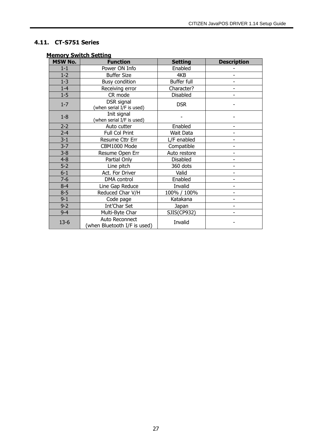## **4.11. CT-S751 Series**

<span id="page-26-0"></span>

| <b>MSW No.</b> | <u>nemory ormeen occuring</u><br><b>Function</b> | <b>Setting</b>  | <b>Description</b> |
|----------------|--------------------------------------------------|-----------------|--------------------|
| $1 - 1$        | Power ON Info                                    | Enabled         |                    |
| $1 - 2$        | <b>Buffer Size</b>                               | 4KB             |                    |
| $1 - 3$        | <b>Busy condition</b>                            | Buffer full     |                    |
| $1-4$          | Receiving error                                  | Character?      |                    |
| $1 - 5$        | CR mode                                          | <b>Disabled</b> |                    |
| $1 - 7$        | DSR signal<br>(when serial I/F is used)          | <b>DSR</b>      |                    |
| $1-8$          | Init signal<br>(when serial I/F is used)         |                 |                    |
| $2 - 2$        | Auto cutter                                      | Enabled         |                    |
| $2 - 4$        | Full Col Print                                   | Wait Data       |                    |
| $3 - 1$        | Resume Cttr Err                                  | L/F enabled     |                    |
| $3 - 7$        | CBM1000 Mode                                     | Compatible      |                    |
| $3 - 8$        | Resume Open Err                                  | Auto restore    |                    |
| $4 - 8$        | Partial Only                                     | <b>Disabled</b> |                    |
| $5-2$          | Line pitch                                       | 360 dots        |                    |
| $6 - 1$        | Act. For Driver                                  | Valid           |                    |
| $7 - 6$        | DMA control                                      | Enabled         |                    |
| $8 - 4$        | Line Gap Reduce                                  | Invalid         |                    |
| $8 - 5$        | Reduced Char V/H                                 | 100% / 100%     |                    |
| $9 - 1$        | Code page                                        | Katakana        |                    |
| $9 - 2$        | Int'Char Set                                     | Japan           |                    |
| $9 - 4$        | Multi-Byte Char                                  | SJIS(CP932)     |                    |
| $13 - 6$       | Auto Reconnect<br>(when Bluetooth I/F is used)   | Invalid         |                    |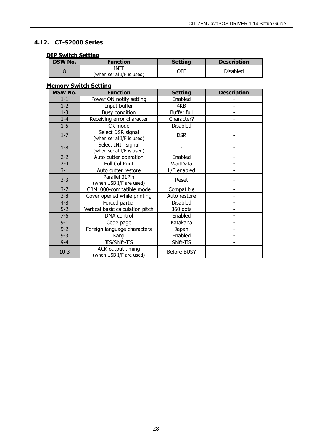## **4.12. CT-S2000 Series**

#### <span id="page-27-0"></span>**DIP Switch Setting**

| .              |                                   |                |                    |  |
|----------------|-----------------------------------|----------------|--------------------|--|
| <b>DSW No.</b> | <b>Function</b>                   | <b>Setting</b> | <b>Description</b> |  |
|                | INIT<br>(when serial I/F is used) | OFF            | <b>Disabled</b>    |  |

| <b>MSW No.</b> | <b>Function</b>                                 | <b>Setting</b>     | <b>Description</b> |
|----------------|-------------------------------------------------|--------------------|--------------------|
| $1 - 1$        | Power ON notify setting                         | Enabled            |                    |
| $1-2$          | Input buffer                                    | 4KB                |                    |
| $1 - 3$        | Busy condition                                  | Buffer full        |                    |
| $1 - 4$        | Receiving error character                       | Character?         |                    |
| $1 - 5$        | CR mode                                         | Disabled           |                    |
| $1 - 7$        | Select DSR signal<br>(when serial I/F is used)  | <b>DSR</b>         |                    |
| $1-8$          | Select INIT signal<br>(when serial I/F is used) |                    |                    |
| $2 - 2$        | Auto cutter operation                           | Enabled            |                    |
| $2 - 4$        | Full Col Print                                  | WaitData           |                    |
| $3 - 1$        | Auto cutter restore                             | L/F enabled        |                    |
| $3 - 3$        | Parallel 31Pin<br>(when USB I/F are used)       | Reset              |                    |
| $3 - 7$        | CBM1000-compatible mode                         | Compatible         |                    |
| $3 - 8$        | Cover opened while printing                     | Auto restore       |                    |
| $4 - 8$        | Forced partial                                  | Disabled           |                    |
| $5-2$          | Vertical basic calculation pitch                | 360 dots           |                    |
| $7 - 6$        | DMA control                                     | Enabled            |                    |
| $9 - 1$        | Code page                                       | Katakana           |                    |
| $9 - 2$        | Foreign language characters                     | Japan              |                    |
| $9 - 3$        | Kanji                                           | Enabled            |                    |
| $9 - 4$        | JIS/Shift-JIS                                   | Shift-JIS          |                    |
| $10-3$         | ACK output timing<br>(when USB I/F are used)    | <b>Before BUSY</b> |                    |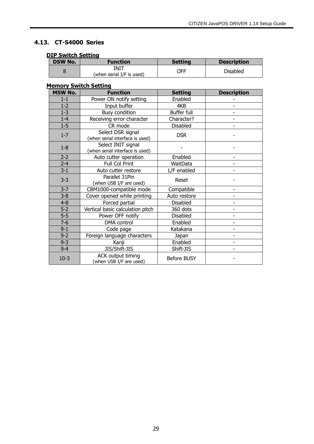## **4.13. CT-S4000 Series**

## <span id="page-28-0"></span>**DIP Switch Setting**

| <b>DSW No.</b> | Function                          | <b>Setting</b> | <b>Description</b> |
|----------------|-----------------------------------|----------------|--------------------|
|                | INIT<br>(when serial I/F is used) | OFF            | <b>Disabled</b>    |

| <b>MSW No.</b> | <b>Function</b>                                       | <b>Setting</b> | <b>Description</b> |
|----------------|-------------------------------------------------------|----------------|--------------------|
| $1-1$          | Power ON notify setting                               | Enabled        |                    |
| $1 - 2$        | Input buffer                                          | 4KB            |                    |
| $1 - 3$        | <b>Busy condition</b>                                 | Buffer full    |                    |
| $1-4$          | Receiving error character                             | Character?     |                    |
| $1 - 5$        | CR mode                                               | Disabled       |                    |
| $1 - 7$        | Select DSR signal<br>(when serial interface is used)  | <b>DSR</b>     |                    |
| $1 - 8$        | Select INIT signal<br>(when serial interface is used) |                |                    |
| $2 - 2$        | Auto cutter operation                                 | Enabled        |                    |
| $2 - 4$        | Full Col Print                                        | WaitData       |                    |
| $3 - 1$        | Auto cutter restore                                   | L/F enabled    |                    |
| $3 - 3$        | Parallel 31Pin<br>(when USB I/F are used)             | Reset          |                    |
| $3 - 7$        | CBM1000-compatible mode                               | Compatible     |                    |
| $3 - 8$        | Cover opened while printing                           | Auto restore   |                    |
| $4 - 8$        | Forced partial                                        | Disabled       |                    |
| $5-2$          | Vertical basic calculation pitch                      | 360 dots       |                    |
| $5-5$          | Power OFF notify                                      | Disabled       |                    |
| $7-6$          | DMA control                                           | Enabled        |                    |
| $9 - 1$        | Code page                                             | Katakana       |                    |
| $9 - 2$        | Foreign language characters                           | Japan          | ٠                  |
| $9 - 3$        | Kanji                                                 | Enabled        |                    |
| $9 - 4$        | JIS/Shift-JIS                                         | Shift-JIS      |                    |
| $10-3$         | ACK output timing<br>(when USB I/F are used)          | Before BUSY    |                    |